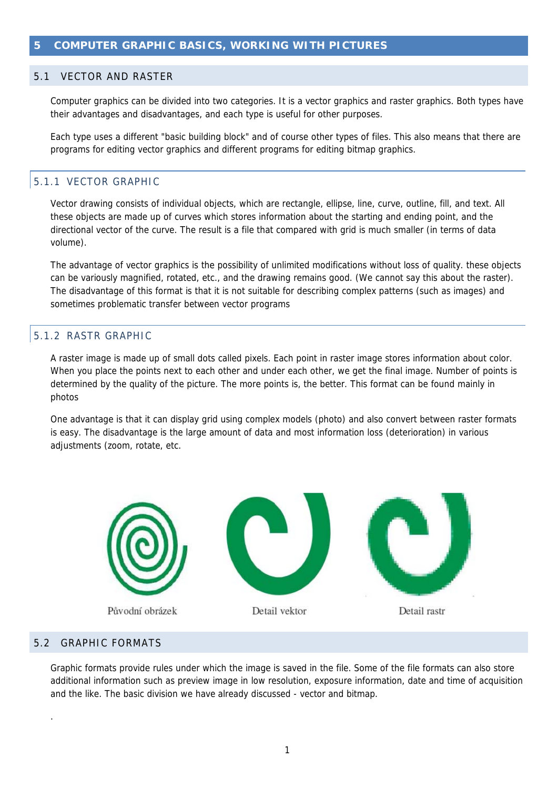#### 5.1 VECTOR AND RASTER

Computer graphics can be divided into two categories. It is a vector graphics and raster graphics. Both types have their advantages and disadvantages, and each type is useful for other purposes.

Each type uses a different "basic building block" and of course other types of files. This also means that there are programs for editing vector graphics and different programs for editing bitmap graphics.

# 5.1.1 VECTOR GRAPHIC

Vector drawing consists of individual objects, which are rectangle, ellipse, line, curve, outline, fill, and text. All these objects are made up of curves which stores information about the starting and ending point, and the directional vector of the curve. The result is a file that compared with grid is much smaller (in terms of data volume).

The advantage of vector graphics is the possibility of unlimited modifications without loss of quality. these objects can be variously magnified, rotated, etc., and the drawing remains good. (We cannot say this about the raster). The disadvantage of this format is that it is not suitable for describing complex patterns (such as images) and sometimes problematic transfer between vector programs

### 5.1.2 RASTR GRAPHIC

A raster image is made up of small dots called pixels. Each point in raster image stores information about color. When you place the points next to each other and under each other, we get the final image. Number of points is determined by the quality of the picture. The more points is, the better. This format can be found mainly in photos

One advantage is that it can display grid using complex models (photo) and also convert between raster formats is easy. The disadvantage is the large amount of data and most information loss (deterioration) in various adjustments (zoom, rotate, etc.



## 5.2 GRAPHIC FORMATS

.

Graphic formats provide rules under which the image is saved in the file. Some of the file formats can also store additional information such as preview image in low resolution, exposure information, date and time of acquisition and the like. The basic division we have already discussed - vector and bitmap.